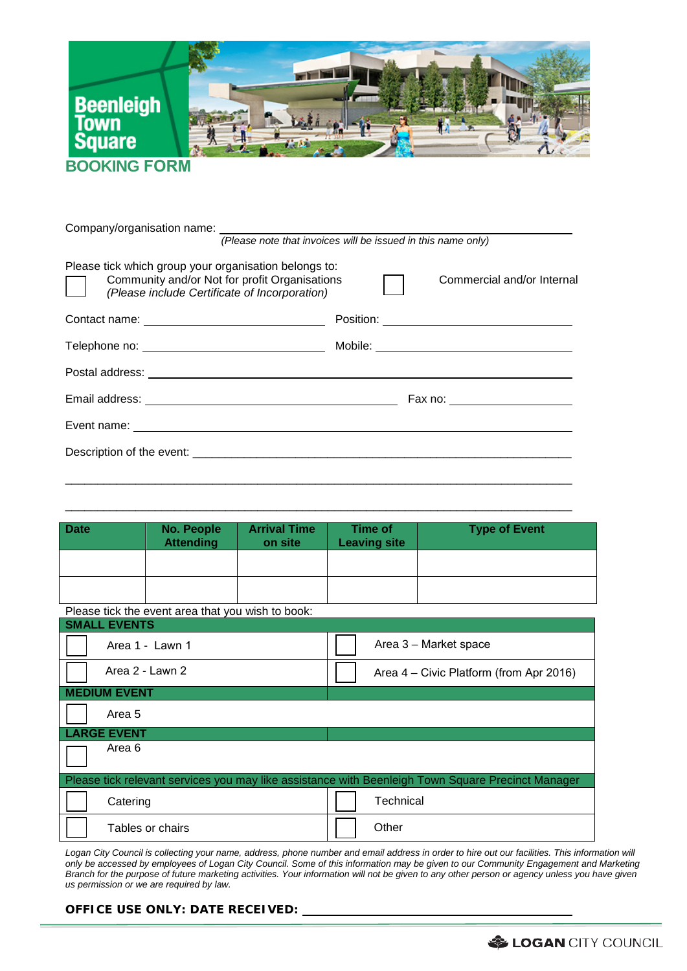

## **BOOKING FORM**

| Please tick which group your organisation belongs to:<br>Community and/or Not for profit Organisations<br>$\vert \ \ \vert$<br>(Please include Certificate of Incorporation) | Commercial and/or Internal     |
|------------------------------------------------------------------------------------------------------------------------------------------------------------------------------|--------------------------------|
|                                                                                                                                                                              |                                |
|                                                                                                                                                                              |                                |
|                                                                                                                                                                              |                                |
|                                                                                                                                                                              | Fax no: ______________________ |
|                                                                                                                                                                              |                                |
|                                                                                                                                                                              |                                |
|                                                                                                                                                                              |                                |

| <b>Date</b> | No. People<br><b>Attending</b> | <b>Arrival Time</b><br>on site | Time of<br><b>Leaving site</b> | <b>Type of Event</b> |
|-------------|--------------------------------|--------------------------------|--------------------------------|----------------------|
|             |                                |                                |                                |                      |
|             |                                |                                |                                |                      |

\_\_\_\_\_\_\_\_\_\_\_\_\_\_\_\_\_\_\_\_\_\_\_\_\_\_\_\_\_\_\_\_\_\_\_\_\_\_\_\_\_\_\_\_\_\_\_\_\_\_\_\_\_\_\_\_\_\_\_\_\_\_\_\_\_\_\_\_\_\_\_\_\_\_\_\_\_\_\_

Please tick the event area that you wish to book:

| <b>SMALL EVENTS</b>                                                                               |                                         |
|---------------------------------------------------------------------------------------------------|-----------------------------------------|
| Area 1 - Lawn 1                                                                                   | Area 3 – Market space                   |
| Area 2 - Lawn 2                                                                                   | Area 4 – Civic Platform (from Apr 2016) |
| <b>MEDIUM EVENT</b>                                                                               |                                         |
| Area 5                                                                                            |                                         |
| <b>LARGE EVENT</b>                                                                                |                                         |
| Area 6                                                                                            |                                         |
| Please tick relevant services you may like assistance with Beenleigh Town Square Precinct Manager |                                         |
| Catering                                                                                          | Technical                               |
| Tables or chairs                                                                                  | Other                                   |

*Logan City Council is collecting your name, address, phone number and email address in order to hire out our facilities. This information will only be accessed by employees of Logan City Council. Some of this information may be given to our Community Engagement and Marketing Branch for the purpose of future marketing activities. Your information will not be given to any other person or agency unless you have given us permission or we are required by law.* 

## **OFFICE USE ONLY: DATE RECEIVED:**